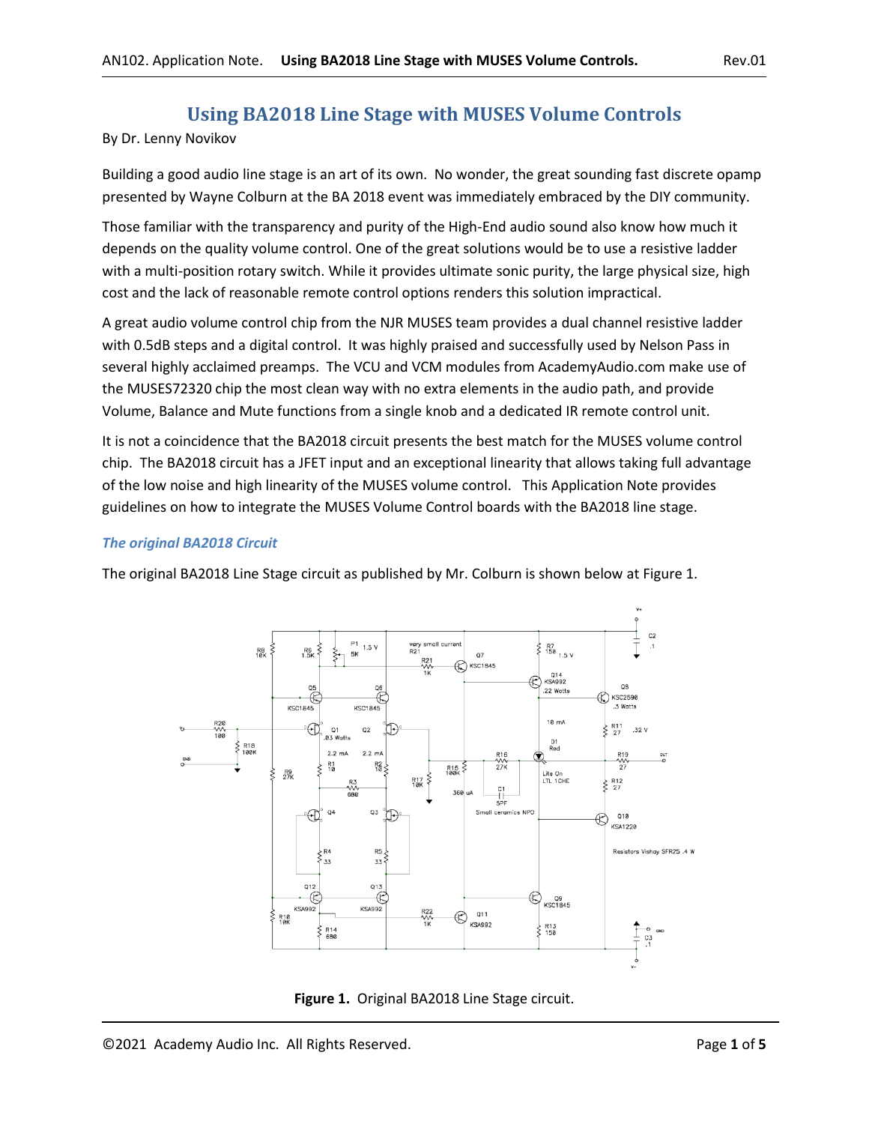# **Using BA2018 Line Stage with MUSES Volume Controls**

By Dr. Lenny Novikov

Building a good audio line stage is an art of its own. No wonder, the great sounding fast discrete opamp presented by Wayne Colburn at the BA 2018 event was immediately embraced by the DIY community.

Those familiar with the transparency and purity of the High-End audio sound also know how much it depends on the quality volume control. One of the great solutions would be to use a resistive ladder with a multi-position rotary switch. While it provides ultimate sonic purity, the large physical size, high cost and the lack of reasonable remote control options renders this solution impractical.

A great audio volume control chip from the NJR MUSES team provides a dual channel resistive ladder with 0.5dB steps and a digital control. It was highly praised and successfully used by Nelson Pass in several highly acclaimed preamps. The VCU and VCM modules from AcademyAudio.com make use of the MUSES72320 chip the most clean way with no extra elements in the audio path, and provide Volume, Balance and Mute functions from a single knob and a dedicated IR remote control unit.

It is not a coincidence that the BA2018 circuit presents the best match for the MUSES volume control chip. The BA2018 circuit has a JFET input and an exceptional linearity that allows taking full advantage of the low noise and high linearity of the MUSES volume control. This Application Note provides guidelines on how to integrate the MUSES Volume Control boards with the BA2018 line stage.

#### *The original BA2018 Circuit*

The original BA2018 Line Stage circuit as published by Mr. Colburn is shown below at Figure 1.



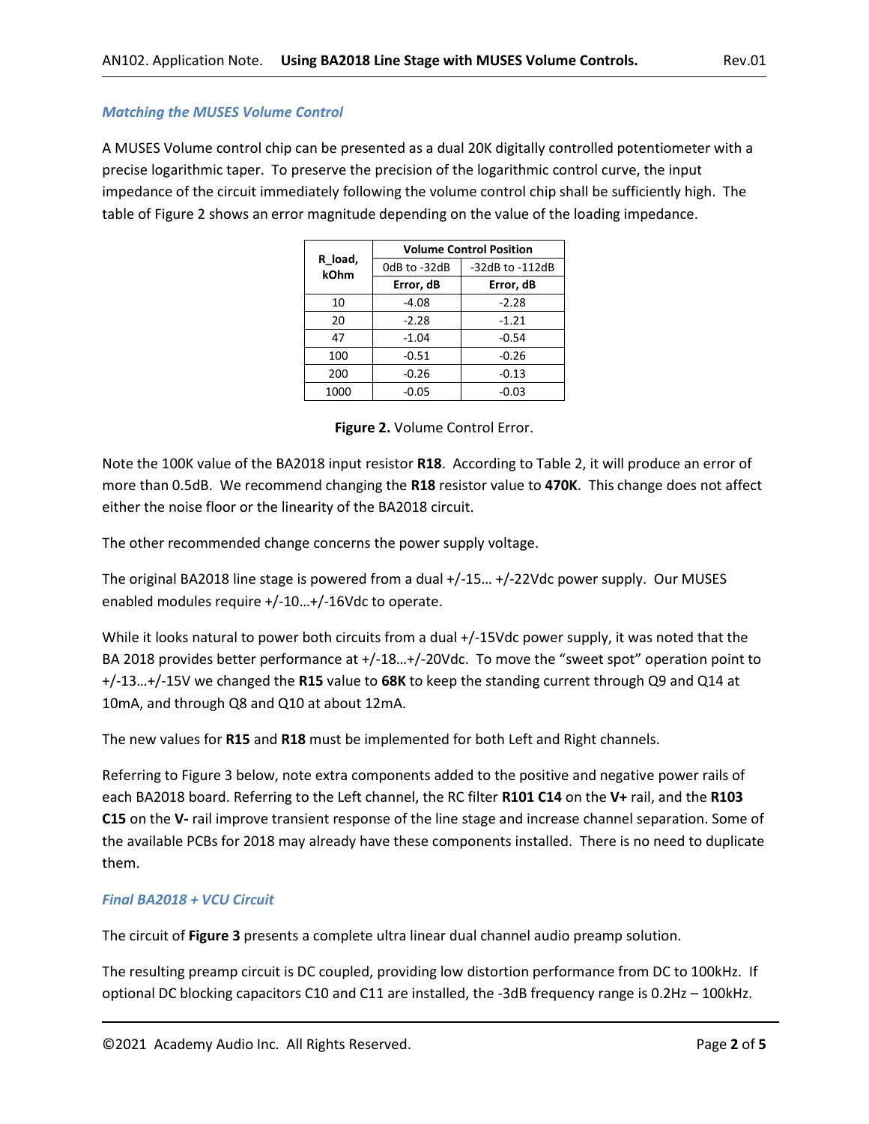## *Matching the MUSES Volume Control*

A MUSES Volume control chip can be presented as a dual 20K digitally controlled potentiometer with a precise logarithmic taper. To preserve the precision of the logarithmic control curve, the input impedance of the circuit immediately following the volume control chip shall be sufficiently high. The table of Figure 2 shows an error magnitude depending on the value of the loading impedance.

|                 | <b>Volume Control Position</b> |                 |  |
|-----------------|--------------------------------|-----------------|--|
| R load,<br>kOhm | OdB to -32dB                   | -32dB to -112dB |  |
|                 | Error, dB                      | Error, dB       |  |
| 10              | $-4.08$                        | $-2.28$         |  |
| 20              | $-2.28$                        | $-1.21$         |  |
| 47              | $-1.04$                        | $-0.54$         |  |
| 100             | $-0.51$                        | $-0.26$         |  |
| 200             | $-0.26$                        | $-0.13$         |  |
| 1000            | $-0.05$                        | $-0.03$         |  |

|  | Figure 2. Volume Control Error. |  |
|--|---------------------------------|--|
|  |                                 |  |

Note the 100K value of the BA2018 input resistor **R18**. According to Table 2, it will produce an error of more than 0.5dB. We recommend changing the **R18** resistor value to **470K**. This change does not affect either the noise floor or the linearity of the BA2018 circuit.

The other recommended change concerns the power supply voltage.

The original BA2018 line stage is powered from a dual +/-15… +/-22Vdc power supply. Our MUSES enabled modules require +/-10…+/-16Vdc to operate.

While it looks natural to power both circuits from a dual +/-15Vdc power supply, it was noted that the BA 2018 provides better performance at +/-18…+/-20Vdc. To move the "sweet spot" operation point to +/-13…+/-15V we changed the **R15** value to **68K** to keep the standing current through Q9 and Q14 at 10mA, and through Q8 and Q10 at about 12mA.

The new values for **R15** and **R18** must be implemented for both Left and Right channels.

Referring to Figure 3 below, note extra components added to the positive and negative power rails of each BA2018 board. Referring to the Left channel, the RC filter **R101 C14** on the **V+** rail, and the **R103 C15** on the **V-** rail improve transient response of the line stage and increase channel separation. Some of the available PCBs for 2018 may already have these components installed. There is no need to duplicate them.

## *Final BA2018 + VCU Circuit*

The circuit of **Figure 3** presents a complete ultra linear dual channel audio preamp solution.

The resulting preamp circuit is DC coupled, providing low distortion performance from DC to 100kHz. If optional DC blocking capacitors C10 and C11 are installed, the -3dB frequency range is 0.2Hz – 100kHz.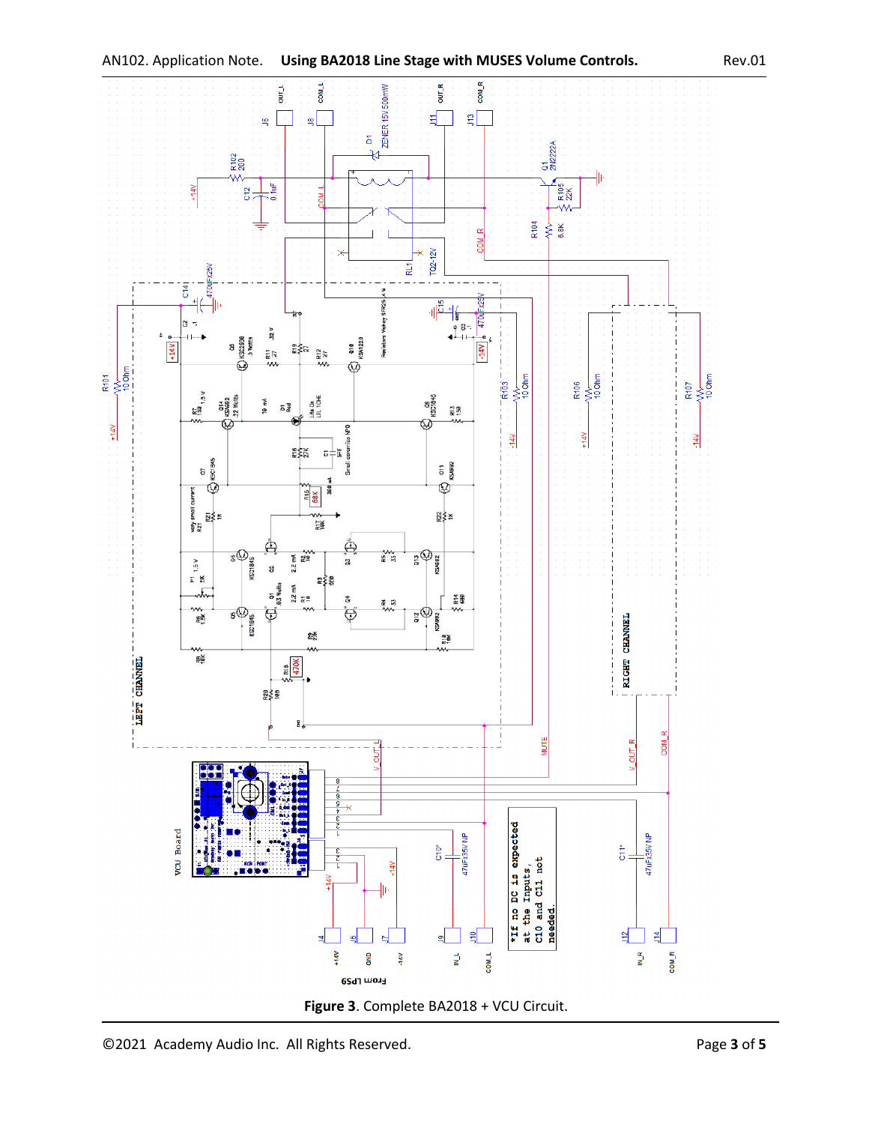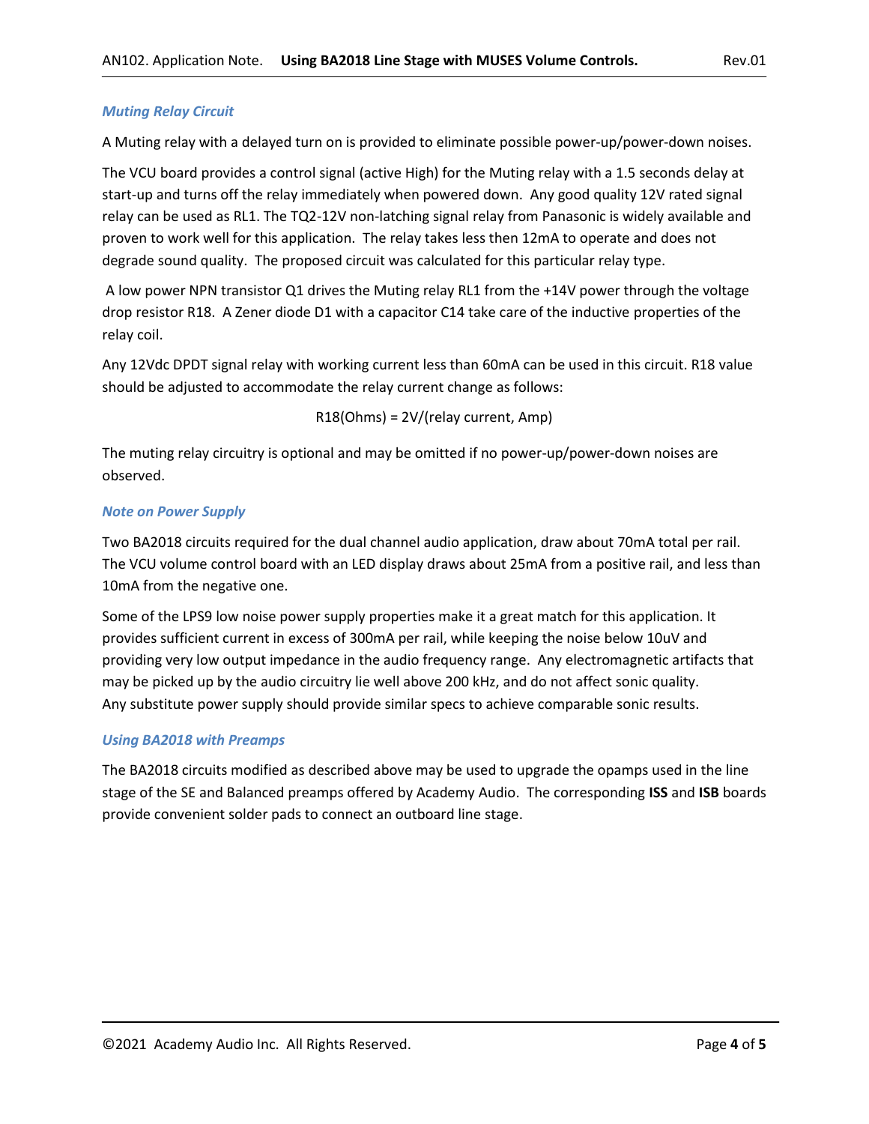#### *Muting Relay Circuit*

A Muting relay with a delayed turn on is provided to eliminate possible power-up/power-down noises.

The VCU board provides a control signal (active High) for the Muting relay with a 1.5 seconds delay at start-up and turns off the relay immediately when powered down. Any good quality 12V rated signal relay can be used as RL1. The TQ2-12V non-latching signal relay from Panasonic is widely available and proven to work well for this application. The relay takes less then 12mA to operate and does not degrade sound quality. The proposed circuit was calculated for this particular relay type.

A low power NPN transistor Q1 drives the Muting relay RL1 from the +14V power through the voltage drop resistor R18. A Zener diode D1 with a capacitor C14 take care of the inductive properties of the relay coil.

Any 12Vdc DPDT signal relay with working current less than 60mA can be used in this circuit. R18 value should be adjusted to accommodate the relay current change as follows:

R18(Ohms) = 2V/(relay current, Amp)

The muting relay circuitry is optional and may be omitted if no power-up/power-down noises are observed.

#### *Note on Power Supply*

Two BA2018 circuits required for the dual channel audio application, draw about 70mA total per rail. The VCU volume control board with an LED display draws about 25mA from a positive rail, and less than 10mA from the negative one.

Some of the LPS9 low noise power supply properties make it a great match for this application. It provides sufficient current in excess of 300mA per rail, while keeping the noise below 10uV and providing very low output impedance in the audio frequency range. Any electromagnetic artifacts that may be picked up by the audio circuitry lie well above 200 kHz, and do not affect sonic quality. Any substitute power supply should provide similar specs to achieve comparable sonic results.

### *Using BA2018 with Preamps*

The BA2018 circuits modified as described above may be used to upgrade the opamps used in the line stage of the SE and Balanced preamps offered by Academy Audio. The corresponding **ISS** and **ISB** boards provide convenient solder pads to connect an outboard line stage.